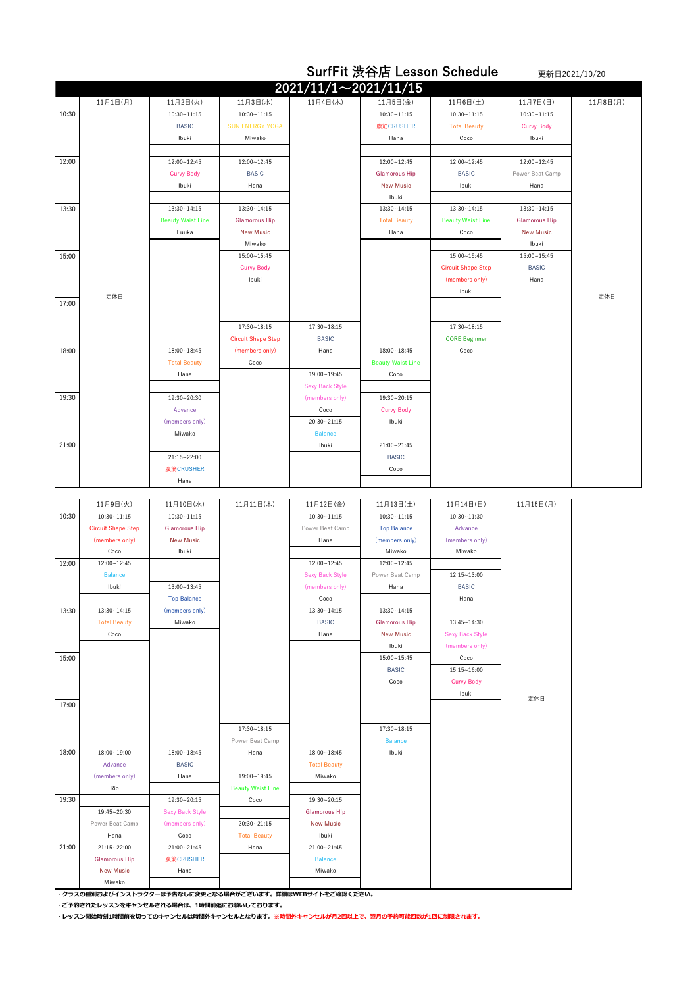|       |                           |                            | <b>SurfFit 渋谷店 Lesson Schedule</b><br>更新日2021/10/20 |                             |                                          |                            |                         |          |
|-------|---------------------------|----------------------------|-----------------------------------------------------|-----------------------------|------------------------------------------|----------------------------|-------------------------|----------|
|       |                           |                            |                                                     | $2021/11/1 \sim 2021/11/15$ |                                          |                            |                         |          |
|       | 11月1日(月)                  | 11月2日(火)                   | 11月3日(水)                                            | 11月4日(木)                    | 11月5日(金)                                 | 11月6日(土)                   | 11月7日(日)                | 11月8日(月) |
| 10:30 |                           | $10:30 - 11:15$            | $10:30 - 11:15$                                     |                             | $10:30 - 11:15$                          | $10:30 - 11:15$            | $10:30 - 11:15$         |          |
|       |                           | <b>BASIC</b>               | <b>SUN ENERGY YOGA</b>                              |                             | 腹筋CRUSHER                                | <b>Total Beauty</b>        | <b>Curvy Body</b>       |          |
|       |                           | Ibuki                      | Miwako                                              |                             | Hana                                     | Coco                       | Ibuki                   |          |
|       |                           |                            |                                                     |                             |                                          |                            |                         |          |
| 12:00 |                           | 12:00~12:45                | 12:00~12:45                                         |                             | 12:00~12:45                              | 12:00~12:45                | 12:00~12:45             |          |
|       |                           | <b>Curvy Body</b><br>Ibuki | <b>BASIC</b><br>Hana                                |                             | <b>Glamorous Hip</b><br><b>New Music</b> | <b>BASIC</b><br>Ibuki      | Power Beat Camp<br>Hana |          |
|       |                           |                            |                                                     |                             | Ibuki                                    |                            |                         |          |
| 13:30 |                           | 13:30~14:15                | 13:30~14:15                                         |                             | $13:30 - 14:15$                          | 13:30~14:15                | 13:30~14:15             |          |
|       |                           | <b>Beauty Waist Line</b>   | <b>Glamorous Hip</b>                                |                             | <b>Total Beauty</b>                      | <b>Beauty Waist Line</b>   | <b>Glamorous Hip</b>    |          |
|       |                           | Fuuka                      | <b>New Music</b>                                    |                             | Hana                                     | Coco                       | <b>New Music</b>        |          |
|       |                           |                            | Miwako                                              |                             |                                          |                            | Ibuki                   |          |
| 15:00 |                           |                            | $15:00 - 15:45$                                     |                             |                                          | 15:00~15:45                | 15:00~15:45             |          |
|       |                           |                            | <b>Curvy Body</b>                                   |                             |                                          | <b>Circuit Shape Step</b>  | <b>BASIC</b>            |          |
|       |                           |                            | Ibuki                                               |                             |                                          | (members only)             | Hana                    |          |
| 17:00 | 定休日                       |                            |                                                     |                             |                                          | Ibuki                      |                         | 定休日      |
|       |                           |                            |                                                     |                             |                                          |                            |                         |          |
|       |                           |                            | 17:30~18:15                                         | $17:30 - 18:15$             |                                          | 17:30~18:15                |                         |          |
|       |                           |                            | <b>Circuit Shape Step</b>                           | <b>BASIC</b>                |                                          | <b>CORE Beginner</b>       |                         |          |
| 18:00 |                           | 18:00~18:45                | (members only)                                      | Hana                        | $18:00 - 18:45$                          | Coco                       |                         |          |
|       |                           | <b>Total Beauty</b>        | Coco                                                |                             | <b>Beauty Waist Line</b>                 |                            |                         |          |
|       |                           | Hana                       |                                                     | 19:00~19:45                 | Coco                                     |                            |                         |          |
| 19:30 |                           |                            |                                                     | <b>Sexy Back Style</b>      |                                          |                            |                         |          |
|       |                           | 19:30~20:30<br>Advance     |                                                     | (members only)<br>Coco      | 19:30~20:15<br><b>Curvy Body</b>         |                            |                         |          |
|       |                           | (members only)             |                                                     | 20:30~21:15                 | Ibuki                                    |                            |                         |          |
|       |                           | Miwako                     |                                                     | <b>Balance</b>              |                                          |                            |                         |          |
| 21:00 |                           |                            |                                                     | Ibuki                       | 21:00~21:45                              |                            |                         |          |
|       |                           | 21:15~22:00                |                                                     |                             | <b>BASIC</b>                             |                            |                         |          |
|       |                           | 腹筋CRUSHER                  |                                                     |                             | Coco                                     |                            |                         |          |
|       |                           | Hana                       |                                                     |                             |                                          |                            |                         |          |
|       | 11月9日(火)                  | 11月10日(水)                  | 11月11日(木)                                           | 11月12日(金)                   | 11月13日(土)                                | 11月14日(日)                  | 11月15日(月)               |          |
| 10:30 | $10:30 - 11:15$           | 10:30~11:15                |                                                     | $10:30 - 11:15$             | $10:30 - 11:15$                          | 10:30~11:30                |                         |          |
|       | <b>Circuit Shape Step</b> | <b>Glamorous Hip</b>       |                                                     | Power Beat Camp             | <b>Top Balance</b>                       | Advance                    |                         |          |
|       | (members only)            | <b>New Music</b>           |                                                     | Hana                        | (members only)                           | (members only)             |                         |          |
|       | Coco                      | Ibuki                      |                                                     |                             | Miwako                                   | Miwako                     |                         |          |
| 12:00 | 12:00~12:45               |                            |                                                     | 12:00~12:45                 | 12:00~12:45                              |                            |                         |          |
|       | <b>Balance</b><br>Ibuki   | $13:00 - 13:45$            |                                                     | <b>Sexy Back Style</b>      | Power Beat Camp                          | 12:15~13:00                |                         |          |
|       |                           | <b>Top Balance</b>         |                                                     | (members only)<br>Coco      | Hana                                     | <b>BASIC</b><br>Hana       |                         |          |
| 13:30 | 13:30~14:15               | (members only)             |                                                     | $13:30 - 14:15$             | $13:30 - 14:15$                          |                            |                         |          |
|       | <b>Total Beauty</b>       | Miwako                     |                                                     | <b>BASIC</b>                | <b>Glamorous Hip</b>                     | 13:45~14:30                |                         |          |
|       | Coco                      |                            |                                                     | Hana                        | <b>New Music</b>                         | <b>Sexy Back Style</b>     |                         |          |
|       |                           |                            |                                                     |                             | Ibuki                                    | (members only)             |                         |          |
| 15:00 |                           |                            |                                                     |                             | 15:00~15:45                              | Coco                       |                         |          |
|       |                           |                            |                                                     |                             | <b>BASIC</b>                             | $15:15 - 16:00$            |                         |          |
|       |                           |                            |                                                     |                             | Coco                                     | <b>Curvy Body</b><br>Ibuki |                         |          |
| 17:00 |                           |                            |                                                     |                             |                                          |                            | 定休日                     |          |
|       |                           |                            |                                                     |                             |                                          |                            |                         |          |
|       |                           |                            | $17:30 - 18:15$                                     |                             | 17:30~18:15                              |                            |                         |          |
|       |                           |                            | Power Beat Camp                                     |                             | <b>Balance</b>                           |                            |                         |          |
| 18:00 | 18:00~19:00               | $18:00 - 18:45$            | Hana                                                | $18:00 - 18:45$             | Ibuki                                    |                            |                         |          |
|       | Advance                   | <b>BASIC</b>               |                                                     | <b>Total Beauty</b>         |                                          |                            |                         |          |
|       | (members only)            | Hana                       | 19:00~19:45                                         | Miwako                      |                                          |                            |                         |          |
| 19:30 | Rio                       | 19:30~20:15                | <b>Beauty Waist Line</b><br>Coco                    | 19:30~20:15                 |                                          |                            |                         |          |
|       | 19:45~20:30               | <b>Sexy Back Style</b>     |                                                     | <b>Glamorous Hip</b>        |                                          |                            |                         |          |
|       | Power Beat Camp           | (members only)             | 20:30~21:15                                         | <b>New Music</b>            |                                          |                            |                         |          |
|       | Hana                      | Coco                       | <b>Total Beauty</b>                                 | Ibuki                       |                                          |                            |                         |          |
| 21:00 | 21:15~22:00               | 21:00~21:45                | Hana                                                | 21:00~21:45                 |                                          |                            |                         |          |
|       | <b>Glamorous Hip</b>      | 腹筋CRUSHER                  |                                                     | <b>Balance</b>              |                                          |                            |                         |          |
|       | <b>New Music</b>          | Hana                       |                                                     | Miwako                      |                                          |                            |                         |          |
|       | Miwako                    |                            |                                                     |                             |                                          |                            |                         |          |

**・クラスの種別およびインストラクターは予告なしに変更となる場合がございます。詳細はWEBサイトをご確認ください。**

**・ご予約されたレッスンをキャンセルされる場合は、1時間前迄にお願いしております。**

**・レッスン開始時刻1時間前を切ってのキャンセルは時間外キャンセルとなります。※時間外キャンセルが月2回以上で、翌月の予約可能回数が1回に制限されます。**